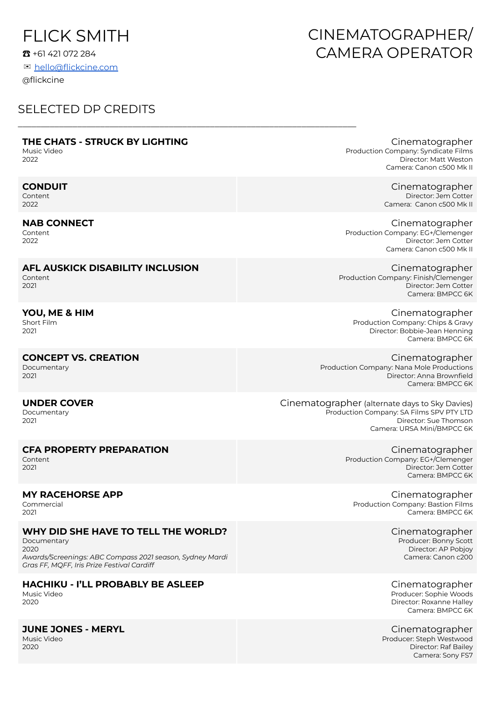# FLICK SMITH

☎ +61 421 072 284

✉ [hello@flickcine.com](mailto:hello@flickcine.com) @flickcine

# SELECTED DP CREDITS

### **THE CHATS - STRUCK BY LIGHTING**

\_\_\_\_\_\_\_\_\_\_\_\_\_\_\_\_\_\_\_\_\_\_\_\_\_\_\_\_\_\_\_\_\_\_\_\_\_\_\_\_\_\_\_\_\_\_\_\_\_\_\_\_\_\_\_\_\_\_\_\_\_\_\_\_\_\_\_\_\_\_\_\_\_\_

Music Video 2022

### **CONDUIT**

Content 2022

#### **NAB CONNECT**

Content 2022

#### **AFL AUSKICK DISABILITY INCLUSION** Content

2021

#### **YOU, ME & HIM** Short Film

2021

## **CONCEPT VS. CREATION**

Documentary 2021

#### **UNDER COVER**

Documentary 2021

## **CFA PROPERTY PREPARATION**

Content 2021

#### **MY RACEHORSE APP**

Commercial 2021

## **WHY DID SHE HAVE TO TELL THE WORLD?**

Documentary 2020 *Awards/Screenings: ABC Compass 2021 season, Sydney Mardi Gras FF, MQFF, Iris Prize Festival Cardiff*

## **HACHIKU - I'LL PROBABLY BE ASLEEP**

Music Video 2020

#### **JUNE JONES - MERYL**

Music Video 2020

# CINEMATOGRAPHER/ CAMERA OPERATOR

Cinematographer Production Company: Syndicate Films Director: Matt Weston Camera: Canon c500 Mk II

> Cinematographer Director: Jem Cotter Camera: Canon c500 Mk II

Cinematographer Production Company: EG+/Clemenger Director: Jem Cotter Camera: Canon c500 Mk II

Cinematographer Production Company: Finish/Clemenger Director: Jem Cotter Camera: BMPCC 6K

Cinematographer Production Company: Chips & Gravy Director: Bobbie-Jean Henning Camera: BMPCC 6K

Cinematographer Production Company: Nana Mole Productions Director: Anna Brownfield Camera: BMPCC 6K

Cinematographer (alternate days to Sky Davies) Production Company: SA Films SPV PTY LTD Director: Sue Thomson Camera: URSA Mini/BMPCC 6K

> Cinematographer Production Company: EG+/Clemenger Director: Jem Cotter Camera: BMPCC 6K

Cinematographer Production Company: Bastion Films Camera: BMPCC 6K

> Cinematographer Producer: Bonny Scott Director: AP Pobjoy Camera: Canon c200

> Cinematographer Producer: Sophie Woods Director: Roxanne Halley Camera: BMPCC 6K

Cinematographer Producer: Steph Westwood Director: Raf Bailey Camera: Sony FS7